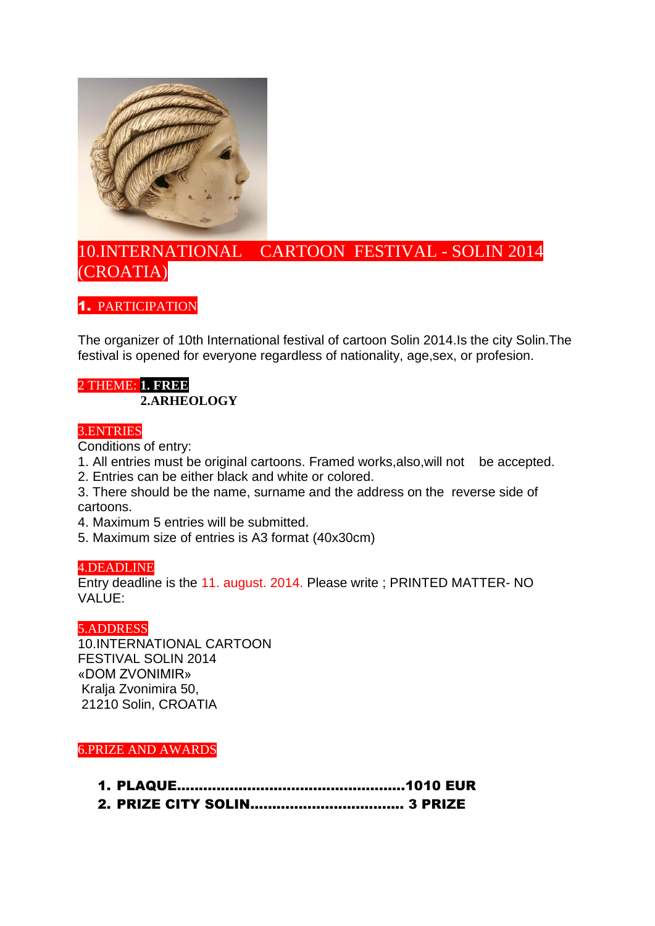

# 10.INTERNATIONAL CARTOON FESTIVAL - SOLIN 2014 (CROATIA)

1. PARTICIPATION

The organizer of 10th International festival of cartoon Solin 2014.Is the city Solin.The festival is opened for everyone regardless of nationality, age,sex, or profesion.

## 2.THEME: **1. FREE 2.ARHEOLOGY**

## 3.ENTRIES

Conditions of entry:

- 1. All entries must be original cartoons. Framed works,also,will not be accepted.
- 2. Entries can be either black and white or colored.
- 3. There should be the name, surname and the address on the reverse side of cartoons.
- 4. Maximum 5 entries will be submitted.
- 5. Maximum size of entries is A3 format (40x30cm)

## 4.DEADLINE

Entry deadline is the 11. august. 2014. Please write ; PRINTED MATTER- NO VALUE:

## 5.ADDRESS

10.INTERNATIONAL CARTOON FESTIVAL SOLIN 2014 «DOM ZVONIMIR» Kralja Zvonimira 50, 21210 Solin, CROATIA

6.PRIZE AND AWARDS

- 1. PLAQUE....................................................1010 EUR
- 2. PRIZE CITY SOLIN................................... 3 PRIZE